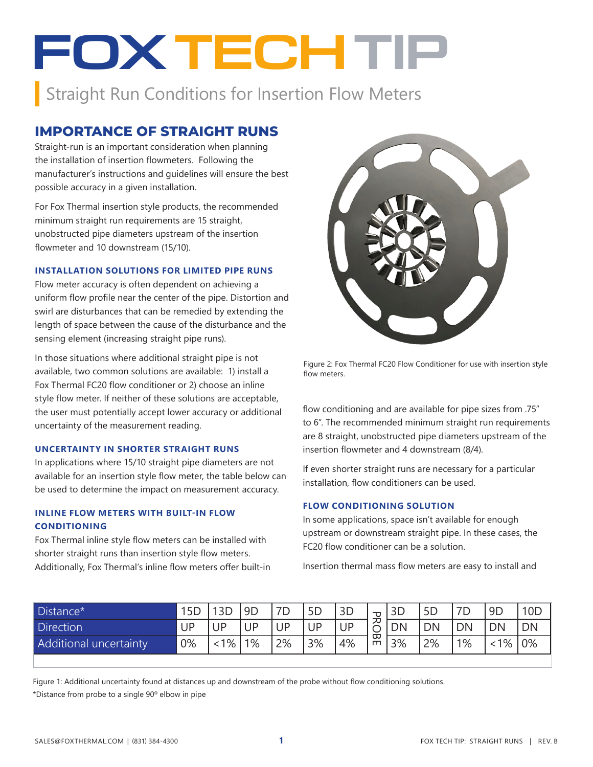# **FOX TECHTIP**

Straight Run Conditions for Insertion Flow Meters

# **IMPORTANCE OF STRAIGHT RUNS**

Straight-run is an important consideration when planning the installation of insertion flowmeters. Following the manufacturer's instructions and guidelines will ensure the best possible accuracy in a given installation.

For Fox Thermal insertion style products, the recommended minimum straight run requirements are 15 straight, unobstructed pipe diameters upstream of the insertion flowmeter and 10 downstream (15/10).

#### **INSTALLATION SOLUTIONS FOR LIMITED PIPE RUNS**

Flow meter accuracy is often dependent on achieving a uniform flow profile near the center of the pipe. Distortion and swirl are disturbances that can be remedied by extending the length of space between the cause of the disturbance and the sensing element (increasing straight pipe runs).

In those situations where additional straight pipe is not available, two common solutions are available: 1) install a Fox Thermal FC20 flow conditioner or 2) choose an inline style flow meter. If neither of these solutions are acceptable, the user must potentially accept lower accuracy or additional uncertainty of the measurement reading.

#### **UNCERTAINTY IN SHORTER STRAIGHT RUNS**

In applications where 15/10 straight pipe diameters are not available for an insertion style flow meter, the table below can be used to determine the impact on measurement accuracy.

## **INLINE FLOW METERS WITH BUILT-IN FLOW CONDITIONING**

Fox Thermal inline style flow meters can be installed with shorter straight runs than insertion style flow meters. Additionally, Fox Thermal's inline flow meters offer built-in



Figure 2: Fox Thermal FC20 Flow Conditioner for use with insertion style flow meters.

flow conditioning and are available for pipe sizes from .75" to 6". The recommended minimum straight run requirements are 8 straight, unobstructed pipe diameters upstream of the insertion flowmeter and 4 downstream (8/4).

If even shorter straight runs are necessary for a particular installation, flow conditioners can be used.

## **FLOW CONDITIONING SOLUTION**

In some applications, space isn't available for enough upstream or downstream straight pipe. In these cases, the FC20 flow conditioner can be a solution.

Insertion thermal mass flow meters are easy to install and

| Distance*              | 5 <sub>D</sub> |    | 9D | 7D<br>◡   | 5 <sub>D</sub> | 3D |        |           | 5D | 7D        | 9 <sub>D</sub> | 10 <sub>E</sub> |
|------------------------|----------------|----|----|-----------|----------------|----|--------|-----------|----|-----------|----------------|-----------------|
| Direction              | UP             | JΡ | JP | <b>JP</b> | UP             | UP | ᅎ<br>ٮ | <b>DN</b> | DN | <b>DN</b> | <b>DN</b>      | DN              |
| Additional uncertainty | 0%             | 1% | 1% | 2%        | 3%             | 4% | ᡂ<br>m | 3%        | 2% | 1%        | 1%             | 0%              |

Figure 1: Additional uncertainty found at distances up and downstream of the probe without flow conditioning solutions. \*Distance from probe to a single 90º elbow in pipe